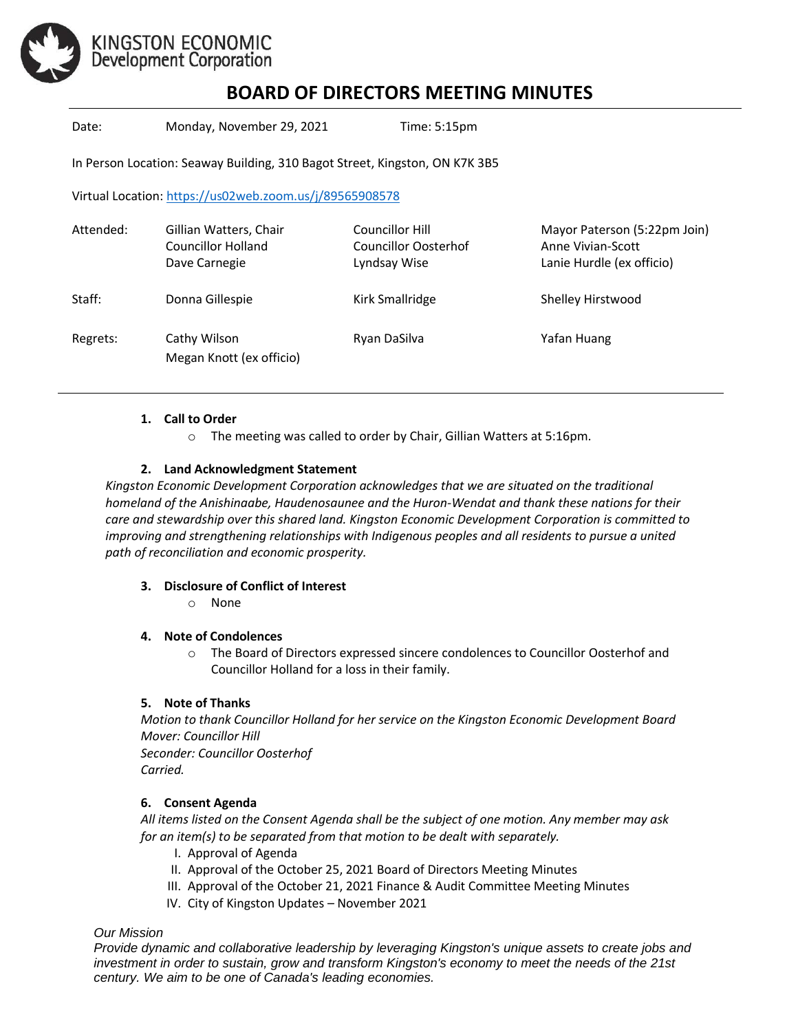

# KINGSTON ECONOMIC<br>Development Corporation

# **BOARD OF DIRECTORS MEETING MINUTES**

Date: Monday, November 29, 2021 Time: 5:15pm

In Person Location: Seaway Building, 310 Bagot Street, Kingston, ON K7K 3B5

Virtual Location[: https://us02web.zoom.us/j/89565908578](https://us02web.zoom.us/j/89565908578)

| Attended: | Gillian Watters, Chair<br><b>Councillor Holland</b><br>Dave Carnegie | Councillor Hill<br>Councillor Oosterhof<br>Lyndsay Wise | Mayor Paterson (5:22pm Join)<br>Anne Vivian-Scott<br>Lanie Hurdle (ex officio) |
|-----------|----------------------------------------------------------------------|---------------------------------------------------------|--------------------------------------------------------------------------------|
| Staff:    | Donna Gillespie                                                      | Kirk Smallridge                                         | Shelley Hirstwood                                                              |
| Regrets:  | Cathy Wilson<br>Megan Knott (ex officio)                             | Ryan DaSilva                                            | Yafan Huang                                                                    |

#### **1. Call to Order**

o The meeting was called to order by Chair, Gillian Watters at 5:16pm.

## **2. Land Acknowledgment Statement**

*Kingston Economic Development Corporation acknowledges that we are situated on the traditional homeland of the Anishinaabe, Haudenosaunee and the Huron-Wendat and thank these nations for their care and stewardship over this shared land. Kingston Economic Development Corporation is committed to improving and strengthening relationships with Indigenous peoples and all residents to pursue a united path of reconciliation and economic prosperity.*

#### **3. Disclosure of Conflict of Interest**

o None

#### **4. Note of Condolences**

o The Board of Directors expressed sincere condolences to Councillor Oosterhof and Councillor Holland for a loss in their family.

#### **5. Note of Thanks**

*Motion to thank Councillor Holland for her service on the Kingston Economic Development Board Mover: Councillor Hill Seconder: Councillor Oosterhof Carried.* 

#### **6. Consent Agenda**

*All items listed on the Consent Agenda shall be the subject of one motion. Any member may ask for an item(s) to be separated from that motion to be dealt with separately.*

- I. Approval of Agenda
- II. Approval of the October 25, 2021 Board of Directors Meeting Minutes
- III. Approval of the October 21, 2021 Finance & Audit Committee Meeting Minutes
- IV. City of Kingston Updates November 2021

*Our Mission*

*Provide dynamic and collaborative leadership by leveraging Kingston's unique assets to create jobs and investment in order to sustain, grow and transform Kingston's economy to meet the needs of the 21st century. We aim to be one of Canada's leading economies.*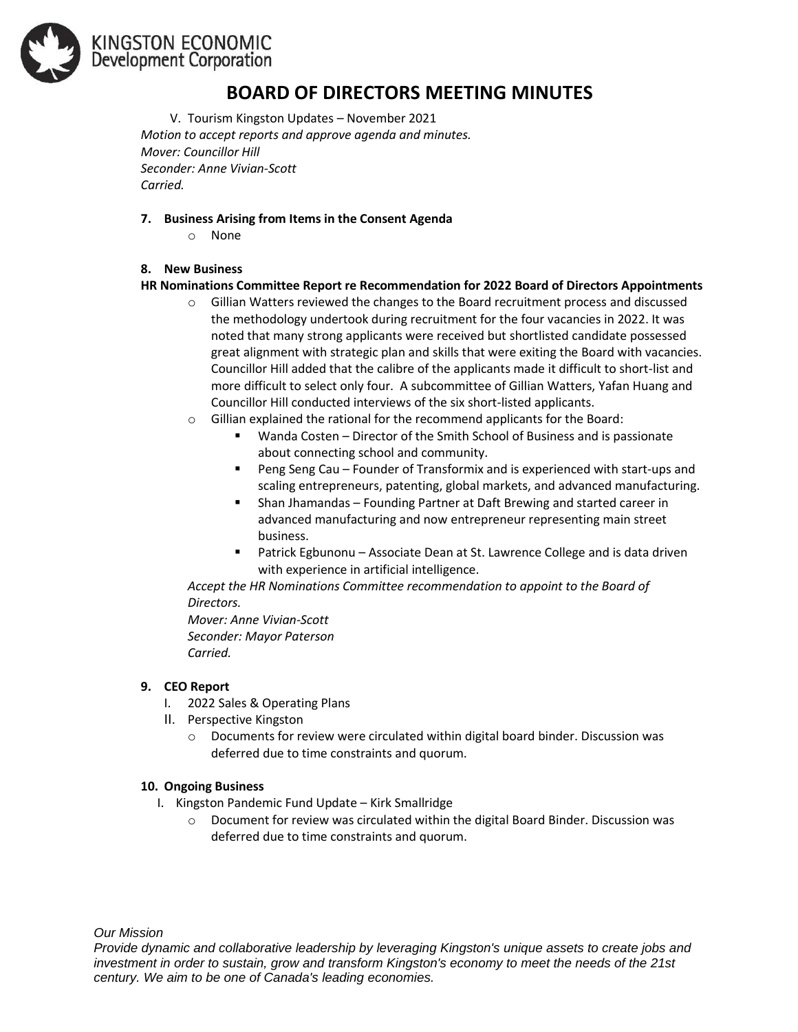

# KINGSTON ECONOMIC Development Corporation

## **BOARD OF DIRECTORS MEETING MINUTES**

V. Tourism Kingston Updates – November 2021 *Motion to accept reports and approve agenda and minutes. Mover: Councillor Hill Seconder: Anne Vivian-Scott Carried.* 

#### **7. Business Arising from Items in the Consent Agenda**

o None

## **8. New Business**

## **HR Nominations Committee Report re Recommendation for 2022 Board of Directors Appointments**

- $\circ$  Gillian Watters reviewed the changes to the Board recruitment process and discussed the methodology undertook during recruitment for the four vacancies in 2022. It was noted that many strong applicants were received but shortlisted candidate possessed great alignment with strategic plan and skills that were exiting the Board with vacancies. Councillor Hill added that the calibre of the applicants made it difficult to short-list and more difficult to select only four. A subcommittee of Gillian Watters, Yafan Huang and Councillor Hill conducted interviews of the six short-listed applicants.
- $\circ$  Gillian explained the rational for the recommend applicants for the Board:
	- Wanda Costen Director of the Smith School of Business and is passionate about connecting school and community.
	- Peng Seng Cau Founder of Transformix and is experienced with start-ups and scaling entrepreneurs, patenting, global markets, and advanced manufacturing.
	- Shan Jhamandas Founding Partner at Daft Brewing and started career in advanced manufacturing and now entrepreneur representing main street business.
	- Patrick Egbunonu Associate Dean at St. Lawrence College and is data driven with experience in artificial intelligence.

*Accept the HR Nominations Committee recommendation to appoint to the Board of Directors.*

*Mover: Anne Vivian-Scott Seconder: Mayor Paterson Carried.* 

#### **9. CEO Report**

- I. 2022 Sales & Operating Plans
- II. Perspective Kingston
	- $\circ$  Documents for review were circulated within digital board binder. Discussion was deferred due to time constraints and quorum.

#### **10. Ongoing Business**

- I. Kingston Pandemic Fund Update Kirk Smallridge
	- $\circ$  Document for review was circulated within the digital Board Binder. Discussion was deferred due to time constraints and quorum.

*Our Mission*

*Provide dynamic and collaborative leadership by leveraging Kingston's unique assets to create jobs and investment in order to sustain, grow and transform Kingston's economy to meet the needs of the 21st century. We aim to be one of Canada's leading economies.*